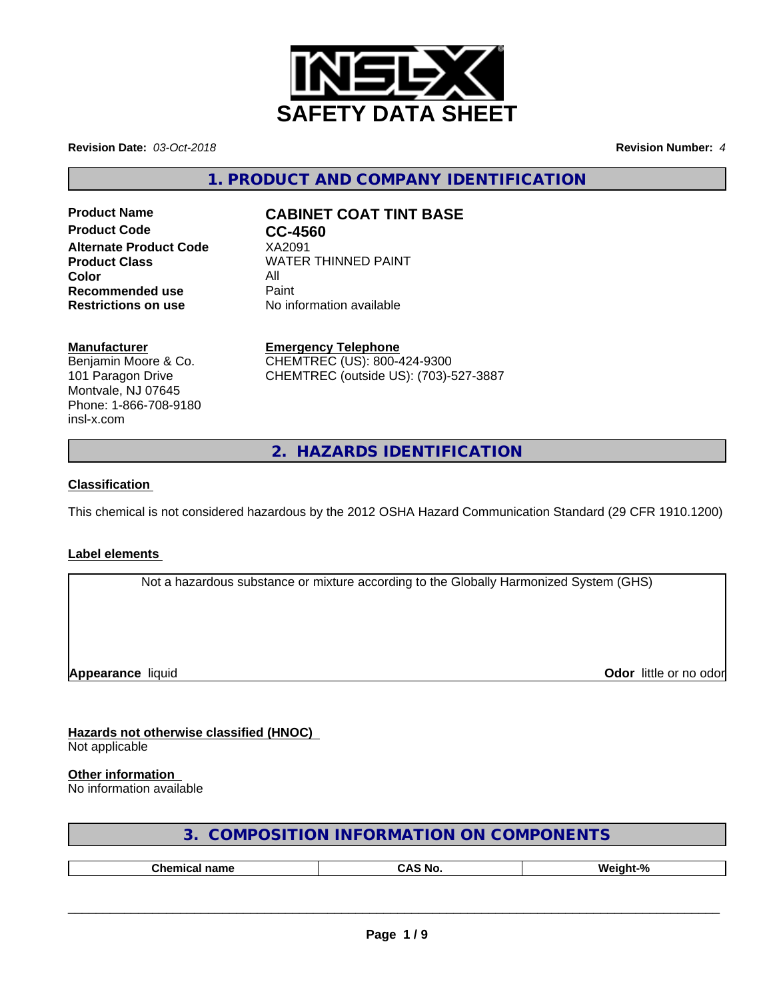

**Revision Date:** *03-Oct-2018* **Revision Number:** *4*

**1. PRODUCT AND COMPANY IDENTIFICATION**

**Product Code CC-4560 Alternate Product Code** XA2091 **Color** All **Recommended use All Print Recommended use** Paint<br> **Restrictions on use No information available Restrictions on use** 

# **Product Name CABINET COAT TINT BASE**

**Product Class WATER THINNED PAINT** 

#### **Manufacturer**

Benjamin Moore & Co. 101 Paragon Drive Montvale, NJ 07645 Phone: 1-866-708-9180 insl-x.com

**Emergency Telephone** CHEMTREC (US): 800-424-9300 CHEMTREC (outside US): (703)-527-3887

**2. HAZARDS IDENTIFICATION**

### **Classification**

This chemical is not considered hazardous by the 2012 OSHA Hazard Communication Standard (29 CFR 1910.1200)

#### **Label elements**

Not a hazardous substance or mixture according to the Globally Harmonized System (GHS)

**Appearance** liquid

**Odor** little or no odor

**Hazards not otherwise classified (HNOC)** Not applicable

#### **Other information**

No information available

| 3. COMPOSITION INFORMATION ON COMPONENTS |
|------------------------------------------|
|------------------------------------------|

| --<br> | N6 |  |
|--------|----|--|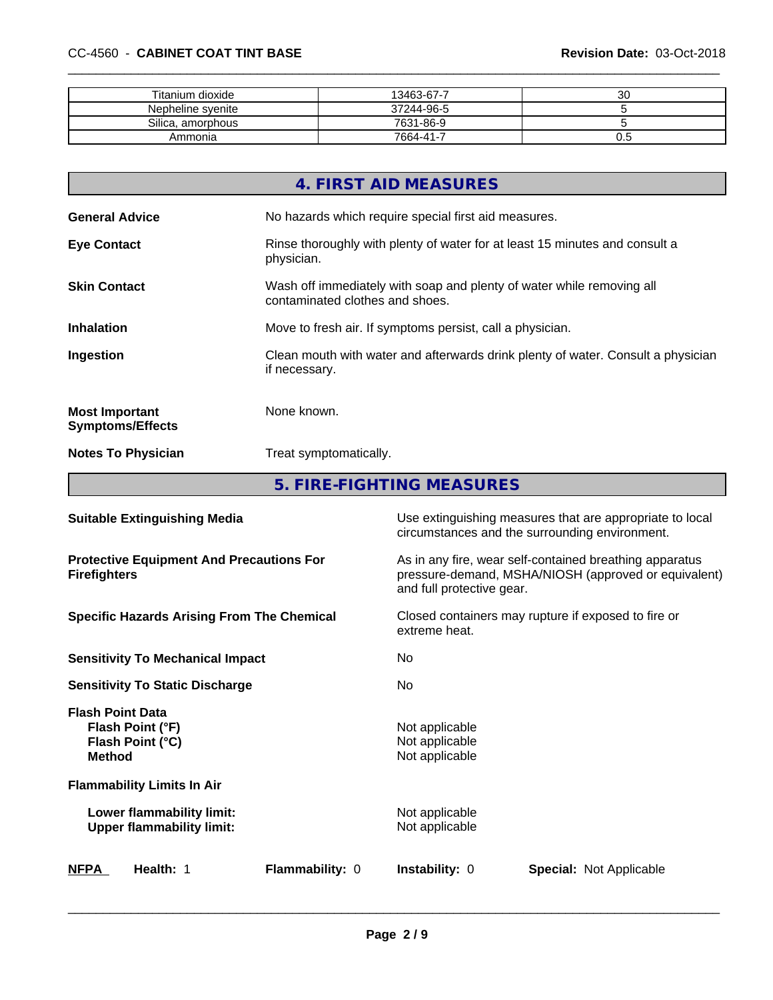| Titanium dioxide  | 13463-67-7 | 30  |
|-------------------|------------|-----|
| Nepheline syenite | 37244-96-5 |     |
| Silica, amorphous | 7631-86-9  |     |
| Ammonia           | 7664-41-7  | v.J |

|                                                  | 4. FIRST AID MEASURES                                                                                    |
|--------------------------------------------------|----------------------------------------------------------------------------------------------------------|
| <b>General Advice</b>                            | No hazards which require special first aid measures.                                                     |
| <b>Eye Contact</b>                               | Rinse thoroughly with plenty of water for at least 15 minutes and consult a<br>physician.                |
| <b>Skin Contact</b>                              | Wash off immediately with soap and plenty of water while removing all<br>contaminated clothes and shoes. |
| <b>Inhalation</b>                                | Move to fresh air. If symptoms persist, call a physician.                                                |
| Ingestion                                        | Clean mouth with water and afterwards drink plenty of water. Consult a physician<br>if necessary.        |
| <b>Most Important</b><br><b>Symptoms/Effects</b> | None known.                                                                                              |
| <b>Notes To Physician</b>                        | Treat symptomatically.                                                                                   |
|                                                  |                                                                                                          |

**5. FIRE-FIGHTING MEASURES**

| <b>Suitable Extinguishing Media</b>                                              | Use extinguishing measures that are appropriate to local<br>circumstances and the surrounding environment.                                   |
|----------------------------------------------------------------------------------|----------------------------------------------------------------------------------------------------------------------------------------------|
| <b>Protective Equipment And Precautions For</b><br><b>Firefighters</b>           | As in any fire, wear self-contained breathing apparatus<br>pressure-demand, MSHA/NIOSH (approved or equivalent)<br>and full protective gear. |
| <b>Specific Hazards Arising From The Chemical</b>                                | Closed containers may rupture if exposed to fire or<br>extreme heat.                                                                         |
| <b>Sensitivity To Mechanical Impact</b>                                          | No.                                                                                                                                          |
| <b>Sensitivity To Static Discharge</b>                                           | No.                                                                                                                                          |
| <b>Flash Point Data</b><br>Flash Point (°F)<br>Flash Point (°C)<br><b>Method</b> | Not applicable<br>Not applicable<br>Not applicable                                                                                           |
| <b>Flammability Limits In Air</b>                                                |                                                                                                                                              |
| Lower flammability limit:<br><b>Upper flammability limit:</b>                    | Not applicable<br>Not applicable                                                                                                             |
| Health: 1<br><b>Flammability: 0</b><br><b>NFPA</b>                               | <b>Instability: 0</b><br><b>Special: Not Applicable</b>                                                                                      |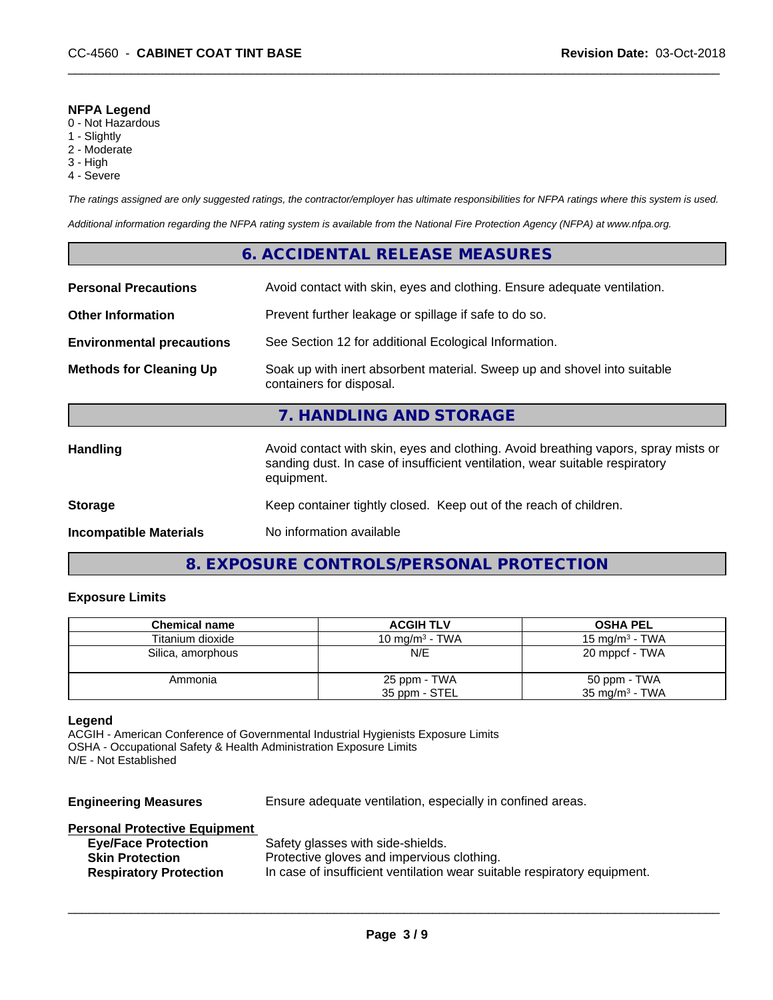#### **NFPA Legend**

- 0 Not Hazardous
- 1 Slightly
- 2 Moderate
- 3 High
- 4 Severe

*The ratings assigned are only suggested ratings, the contractor/employer has ultimate responsibilities for NFPA ratings where this system is used.*

*Additional information regarding the NFPA rating system is available from the National Fire Protection Agency (NFPA) at www.nfpa.org.*

### **6. ACCIDENTAL RELEASE MEASURES**

| <b>Personal Precautions</b>      | Avoid contact with skin, eyes and clothing. Ensure adequate ventilation.                                                                                                         |
|----------------------------------|----------------------------------------------------------------------------------------------------------------------------------------------------------------------------------|
| <b>Other Information</b>         | Prevent further leakage or spillage if safe to do so.                                                                                                                            |
| <b>Environmental precautions</b> | See Section 12 for additional Ecological Information.                                                                                                                            |
| <b>Methods for Cleaning Up</b>   | Soak up with inert absorbent material. Sweep up and shovel into suitable<br>containers for disposal.                                                                             |
|                                  | 7. HANDLING AND STORAGE                                                                                                                                                          |
| <b>Handling</b>                  | Avoid contact with skin, eyes and clothing. Avoid breathing vapors, spray mists or<br>sanding dust. In case of insufficient ventilation, wear suitable respiratory<br>equipment. |
| <b>Storage</b>                   | Keep container tightly closed. Keep out of the reach of children.                                                                                                                |
| <b>Incompatible Materials</b>    | No information available                                                                                                                                                         |

# **8. EXPOSURE CONTROLS/PERSONAL PROTECTION**

#### **Exposure Limits**

| <b>Chemical name</b> | <b>ACGIH TLV</b>  | <b>OSHA PEL</b>           |
|----------------------|-------------------|---------------------------|
| Titanium dioxide     | 10 mg/m $3$ - TWA | 15 mg/m $3$ - TWA         |
| Silica, amorphous    | N/E               | 20 mppcf - TWA            |
| Ammonia              | 25 ppm - TWA      | 50 ppm - TWA              |
|                      | 35 ppm - STEL     | $35 \text{ mg/m}^3$ - TWA |

#### **Legend**

ACGIH - American Conference of Governmental Industrial Hygienists Exposure Limits OSHA - Occupational Safety & Health Administration Exposure Limits N/E - Not Established

**Engineering Measures** Ensure adequate ventilation, especially in confined areas.

#### **Personal Protective Equipment**

| <b>Eye/Face Protection</b>    | Safety glasses with side-shields.                                        |
|-------------------------------|--------------------------------------------------------------------------|
| <b>Skin Protection</b>        | Protective gloves and impervious clothing.                               |
| <b>Respiratory Protection</b> | In case of insufficient ventilation wear suitable respiratory equipment. |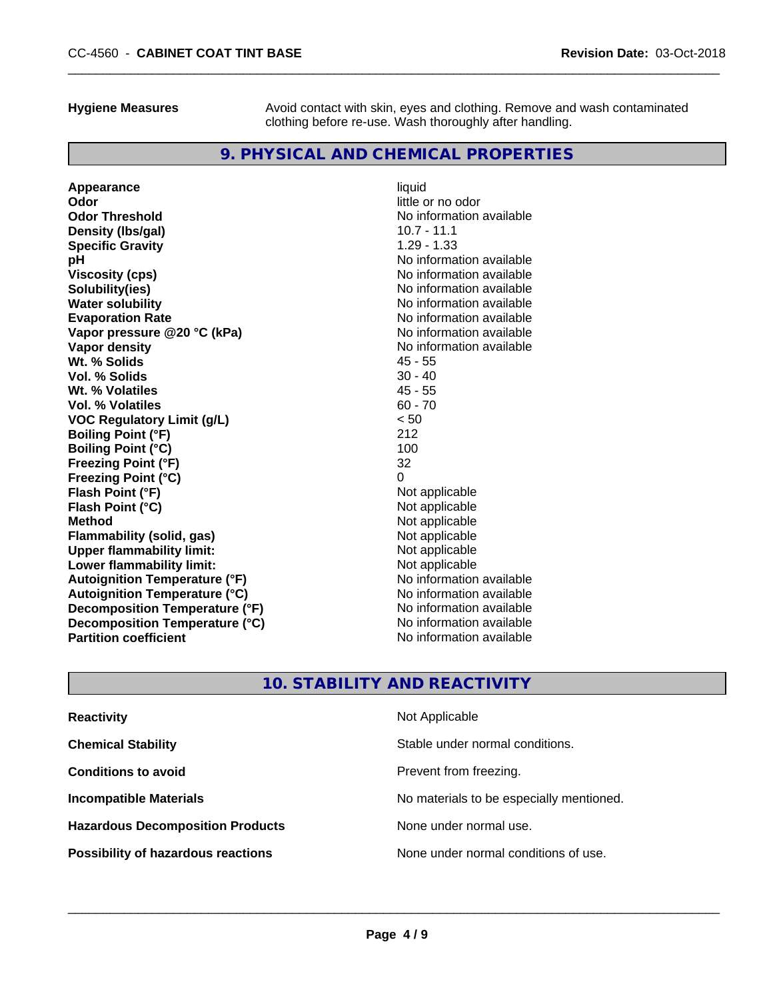**Hygiene Measures** Avoid contact with skin, eyes and clothing. Remove and wash contaminated clothing before re-use. Wash thoroughly after handling.

# **9. PHYSICAL AND CHEMICAL PROPERTIES**

| Appearance                           | liquid                   |
|--------------------------------------|--------------------------|
| Odor                                 | little or no odor        |
| <b>Odor Threshold</b>                | No information available |
| Density (Ibs/gal)                    | $10.7 - 11.1$            |
| <b>Specific Gravity</b>              | $1.29 - 1.33$            |
| рH                                   | No information available |
| <b>Viscosity (cps)</b>               | No information available |
| Solubility(ies)                      | No information available |
| <b>Water solubility</b>              | No information available |
| <b>Evaporation Rate</b>              | No information available |
| Vapor pressure @20 °C (kPa)          | No information available |
| Vapor density                        | No information available |
| Wt. % Solids                         | $45 - 55$                |
| Vol. % Solids                        | $30 - 40$                |
| Wt. % Volatiles                      | $45 - 55$                |
| Vol. % Volatiles                     | $60 - 70$                |
| <b>VOC Regulatory Limit (g/L)</b>    | < 50                     |
| <b>Boiling Point (°F)</b>            | 212                      |
| <b>Boiling Point (°C)</b>            | 100                      |
| <b>Freezing Point (°F)</b>           | 32                       |
| <b>Freezing Point (°C)</b>           | 0                        |
| Flash Point (°F)                     | Not applicable           |
| Flash Point (°C)                     | Not applicable           |
| <b>Method</b>                        | Not applicable           |
| <b>Flammability (solid, gas)</b>     | Not applicable           |
| <b>Upper flammability limit:</b>     | Not applicable           |
| Lower flammability limit:            | Not applicable           |
| <b>Autoignition Temperature (°F)</b> | No information available |
| <b>Autoignition Temperature (°C)</b> | No information available |
| Decomposition Temperature (°F)       | No information available |
| Decomposition Temperature (°C)       | No information available |
| <b>Partition coefficient</b>         | No information available |

# **10. STABILITY AND REACTIVITY**

| <b>Reactivity</b>                         | Not Applicable                           |
|-------------------------------------------|------------------------------------------|
| <b>Chemical Stability</b>                 | Stable under normal conditions.          |
| <b>Conditions to avoid</b>                | Prevent from freezing.                   |
| <b>Incompatible Materials</b>             | No materials to be especially mentioned. |
| <b>Hazardous Decomposition Products</b>   | None under normal use.                   |
| <b>Possibility of hazardous reactions</b> | None under normal conditions of use.     |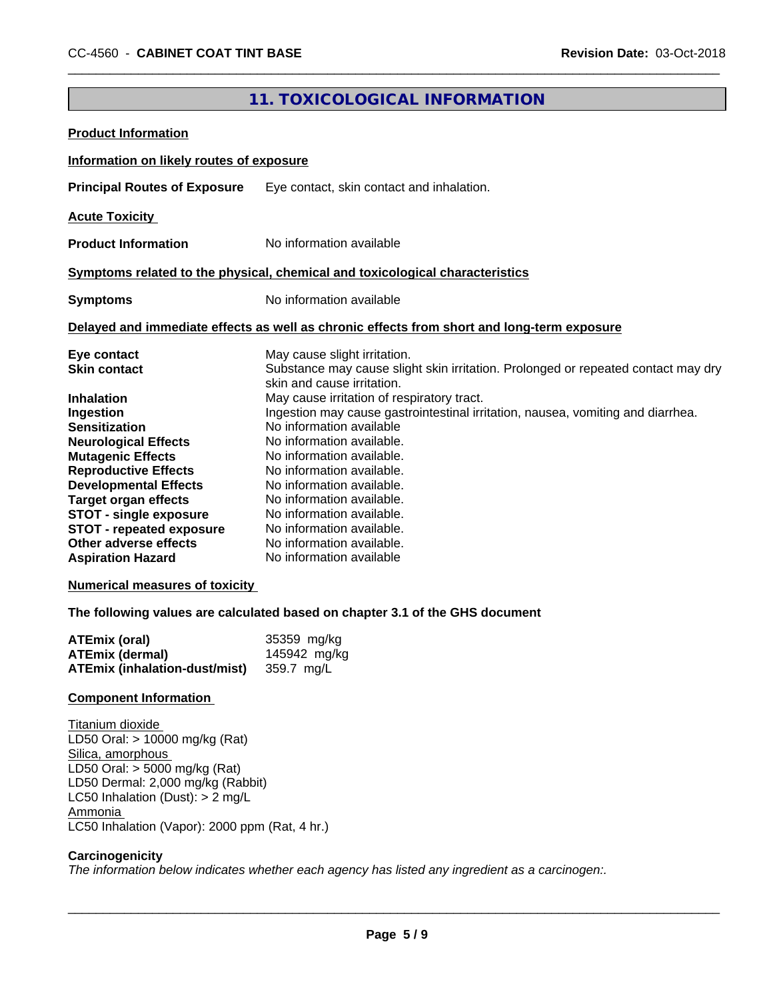# **11. TOXICOLOGICAL INFORMATION**

| <b>Product Information</b>                                                                                                                                                                                                                                                                                                                                                                                              |                                                                                                                                                                                                                                                                                                                                                                                                                                                                                                                                                                                                                                                                  |
|-------------------------------------------------------------------------------------------------------------------------------------------------------------------------------------------------------------------------------------------------------------------------------------------------------------------------------------------------------------------------------------------------------------------------|------------------------------------------------------------------------------------------------------------------------------------------------------------------------------------------------------------------------------------------------------------------------------------------------------------------------------------------------------------------------------------------------------------------------------------------------------------------------------------------------------------------------------------------------------------------------------------------------------------------------------------------------------------------|
| Information on likely routes of exposure                                                                                                                                                                                                                                                                                                                                                                                |                                                                                                                                                                                                                                                                                                                                                                                                                                                                                                                                                                                                                                                                  |
| <b>Principal Routes of Exposure</b>                                                                                                                                                                                                                                                                                                                                                                                     | Eye contact, skin contact and inhalation.                                                                                                                                                                                                                                                                                                                                                                                                                                                                                                                                                                                                                        |
| <b>Acute Toxicity</b>                                                                                                                                                                                                                                                                                                                                                                                                   |                                                                                                                                                                                                                                                                                                                                                                                                                                                                                                                                                                                                                                                                  |
| <b>Product Information</b>                                                                                                                                                                                                                                                                                                                                                                                              | No information available                                                                                                                                                                                                                                                                                                                                                                                                                                                                                                                                                                                                                                         |
|                                                                                                                                                                                                                                                                                                                                                                                                                         | Symptoms related to the physical, chemical and toxicological characteristics                                                                                                                                                                                                                                                                                                                                                                                                                                                                                                                                                                                     |
| <b>Symptoms</b>                                                                                                                                                                                                                                                                                                                                                                                                         | No information available                                                                                                                                                                                                                                                                                                                                                                                                                                                                                                                                                                                                                                         |
|                                                                                                                                                                                                                                                                                                                                                                                                                         | Delayed and immediate effects as well as chronic effects from short and long-term exposure                                                                                                                                                                                                                                                                                                                                                                                                                                                                                                                                                                       |
| Eye contact<br><b>Skin contact</b><br><b>Inhalation</b><br>Ingestion<br><b>Sensitization</b><br><b>Neurological Effects</b><br><b>Mutagenic Effects</b><br><b>Reproductive Effects</b><br><b>Developmental Effects</b><br><b>Target organ effects</b><br><b>STOT - single exposure</b><br><b>STOT - repeated exposure</b><br>Other adverse effects<br><b>Aspiration Hazard</b><br><b>Numerical measures of toxicity</b> | May cause slight irritation.<br>Substance may cause slight skin irritation. Prolonged or repeated contact may dry<br>skin and cause irritation.<br>May cause irritation of respiratory tract.<br>Ingestion may cause gastrointestinal irritation, nausea, vomiting and diarrhea.<br>No information available<br>No information available.<br>No information available.<br>No information available.<br>No information available.<br>No information available.<br>No information available.<br>No information available.<br>No information available.<br>No information available<br>The following values are calculated based on chapter 3.1 of the GHS document |
| <b>ATEmix (oral)</b><br><b>ATEmix (dermal)</b><br><b>ATEmix (inhalation-dust/mist)</b>                                                                                                                                                                                                                                                                                                                                  | 35359 mg/kg<br>145942 mg/kg<br>359.7 mg/L                                                                                                                                                                                                                                                                                                                                                                                                                                                                                                                                                                                                                        |
| <b>Component Information</b>                                                                                                                                                                                                                                                                                                                                                                                            |                                                                                                                                                                                                                                                                                                                                                                                                                                                                                                                                                                                                                                                                  |
| Titanium dioxide<br>LD50 Oral: > 10000 mg/kg (Rat)<br>Silica, amorphous<br>LD50 Oral: $>$ 5000 mg/kg (Rat)<br>LD50 Dermal: 2,000 mg/kg (Rabbit)<br>LC50 Inhalation (Dust): $> 2$ mg/L<br>Ammonia<br>LC50 Inhalation (Vapor): 2000 ppm (Rat, 4 hr.)                                                                                                                                                                      |                                                                                                                                                                                                                                                                                                                                                                                                                                                                                                                                                                                                                                                                  |
| Carcinogenicity                                                                                                                                                                                                                                                                                                                                                                                                         | The information below indicates whether each agency has listed any ingredient as a carcinogen:.                                                                                                                                                                                                                                                                                                                                                                                                                                                                                                                                                                  |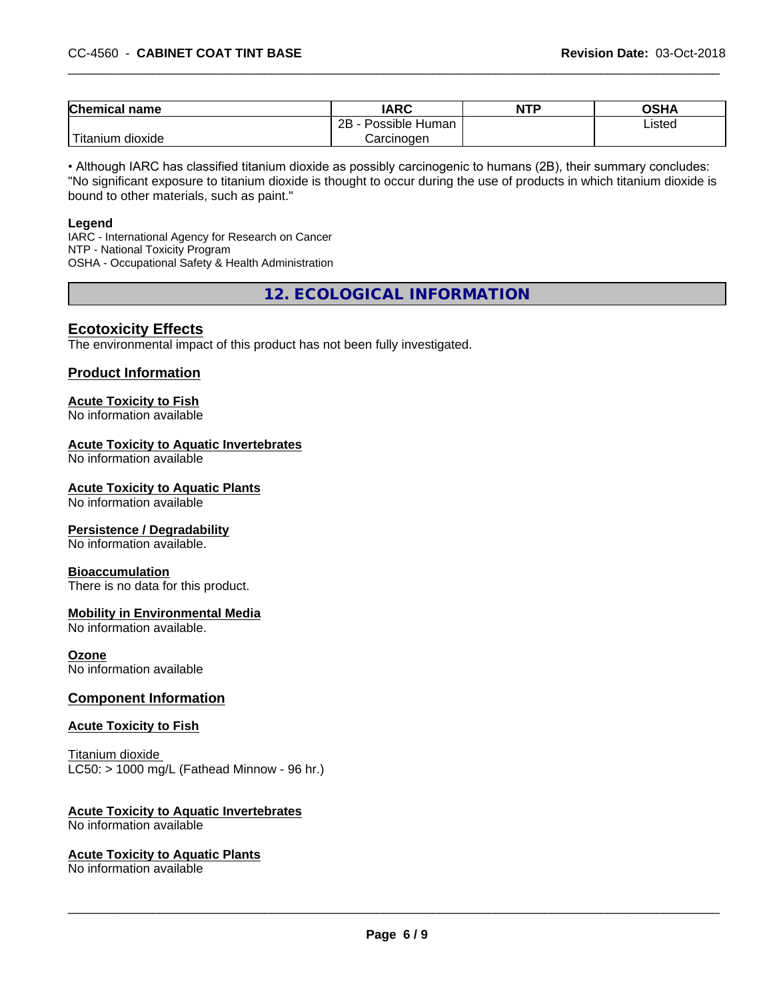| <b>Chemical</b><br>name        | <b>IARC</b>                 | <b>NTP</b> | <b>OSHA</b> |
|--------------------------------|-----------------------------|------------|-------------|
|                                | . .<br>2B<br>Possible Human |            | Listed      |
| .<br>n dioxide :<br>, Titanıum | Carcinoɑen                  |            |             |

• Although IARC has classified titanium dioxide as possibly carcinogenic to humans (2B), their summary concludes: "No significant exposure to titanium dioxide is thought to occur during the use of products in which titanium dioxide is bound to other materials, such as paint."

#### **Legend**

IARC - International Agency for Research on Cancer NTP - National Toxicity Program OSHA - Occupational Safety & Health Administration

**12. ECOLOGICAL INFORMATION**

## **Ecotoxicity Effects**

The environmental impact of this product has not been fully investigated.

#### **Product Information**

# **Acute Toxicity to Fish**

No information available

#### **Acute Toxicity to Aquatic Invertebrates**

No information available

#### **Acute Toxicity to Aquatic Plants**

No information available

#### **Persistence / Degradability**

No information available.

#### **Bioaccumulation**

There is no data for this product.

#### **Mobility in Environmental Media**

No information available.

#### **Ozone**

No information available

#### **Component Information**

#### **Acute Toxicity to Fish**

Titanium dioxide  $LC50:$  > 1000 mg/L (Fathead Minnow - 96 hr.)

#### **Acute Toxicity to Aquatic Invertebrates**

No information available

#### **Acute Toxicity to Aquatic Plants**

No information available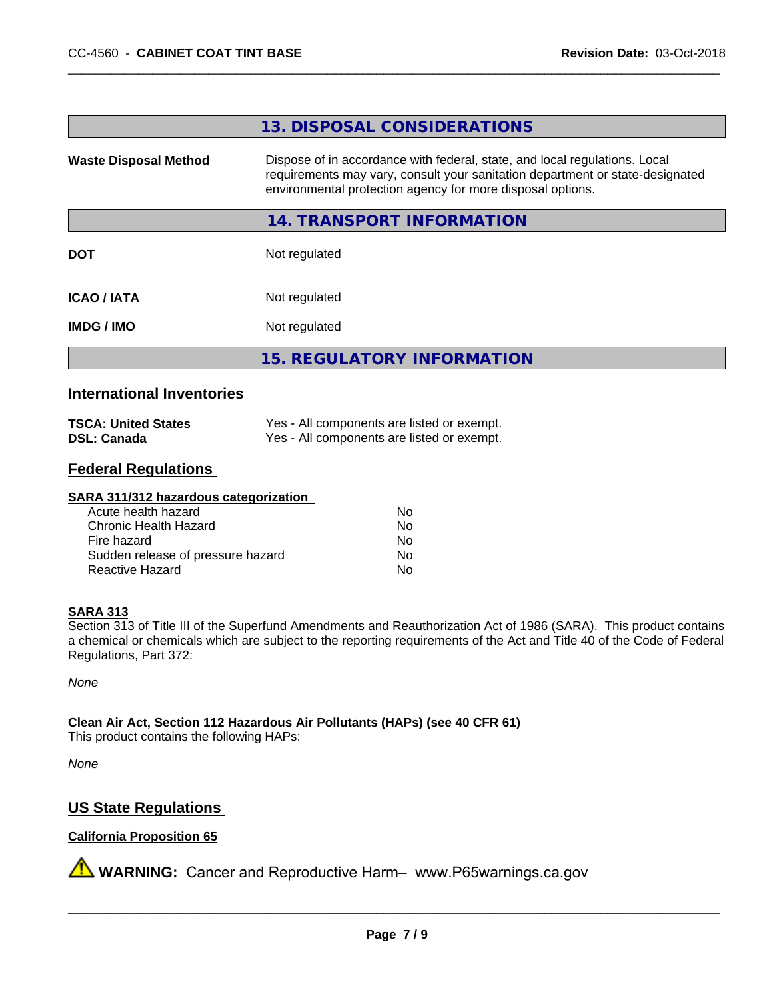#### **13. DISPOSAL CONSIDERATIONS**

**Waste Disposal Method** Dispose of in accordance with federal, state, and local regulations. Local requirements may vary, consult your sanitation department or state-designated environmental protection agency for more disposal options.

#### **14. TRANSPORT INFORMATION**

**DOT** Not regulated

**ICAO / IATA** Not regulated

**IMDG / IMO** Not regulated

**15. REGULATORY INFORMATION**

#### **International Inventories**

| <b>TSCA: United States</b> | Yes - All components are listed or exempt. |
|----------------------------|--------------------------------------------|
| <b>DSL: Canada</b>         | Yes - All components are listed or exempt. |

# **Federal Regulations**

#### **SARA 311/312 hazardous categorization**

| Acute health hazard               | No |  |
|-----------------------------------|----|--|
| Chronic Health Hazard             | Nο |  |
| Fire hazard                       | Nο |  |
| Sudden release of pressure hazard | Nο |  |
| Reactive Hazard                   | Nο |  |

#### **SARA 313**

Section 313 of Title III of the Superfund Amendments and Reauthorization Act of 1986 (SARA). This product contains a chemical or chemicals which are subject to the reporting requirements of the Act and Title 40 of the Code of Federal Regulations, Part 372:

*None*

**Clean Air Act,Section 112 Hazardous Air Pollutants (HAPs) (see 40 CFR 61)**

This product contains the following HAPs:

*None*

# **US State Regulations**

#### **California Proposition 65**

**AVIMARNING:** Cancer and Reproductive Harm– www.P65warnings.ca.gov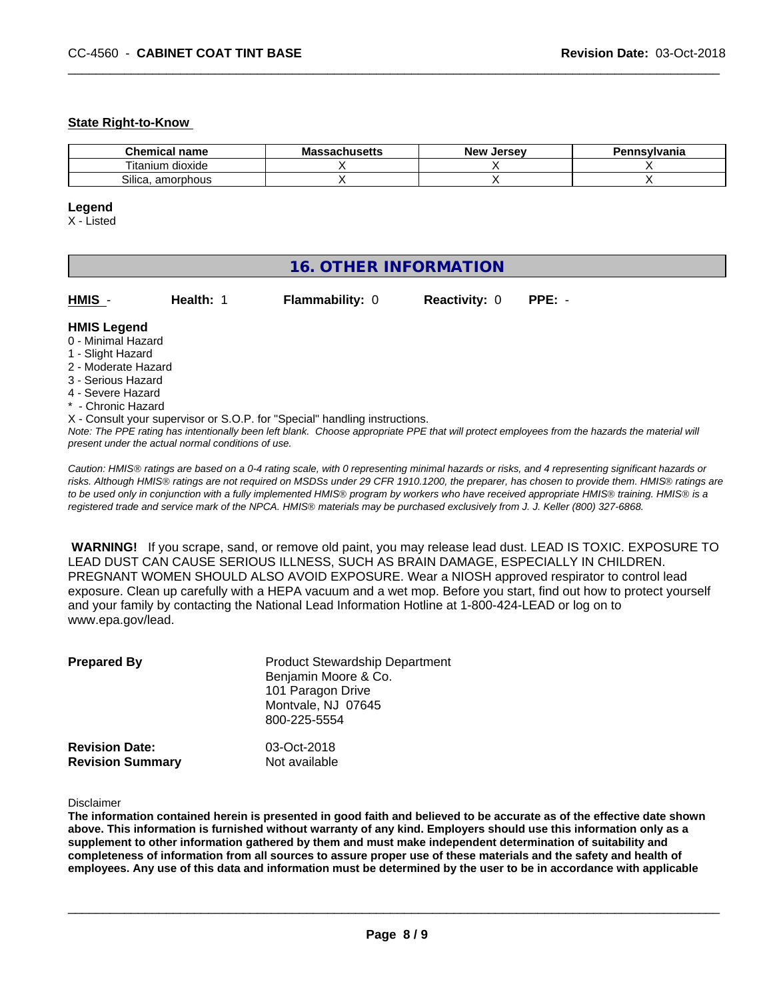#### **State Right-to-Know**

| name<br>hemical                 | <br>Ma<br>saunus <del>c</del> us | ∴Jerse<br>Ne۱ | avlvan<br>anıa |
|---------------------------------|----------------------------------|---------------|----------------|
| --<br>dioxide<br>l itanium.     |                                  |               |                |
| <b>-</b><br>Silica<br>amorphous |                                  |               |                |

#### **Legend**

X - Listed

| <b>16. OTHER INFORMATION</b>                                                                                                                          |                                                    |                                                                            |                      |                                                                                                                                               |  |  |
|-------------------------------------------------------------------------------------------------------------------------------------------------------|----------------------------------------------------|----------------------------------------------------------------------------|----------------------|-----------------------------------------------------------------------------------------------------------------------------------------------|--|--|
| HMIS -                                                                                                                                                | Health: 1                                          | <b>Flammability: 0</b>                                                     | <b>Reactivity: 0</b> | $PPE: -$                                                                                                                                      |  |  |
| <b>HMIS Legend</b><br>0 - Minimal Hazard<br>1 - Slight Hazard<br>2 - Moderate Hazard<br>3 - Serious Hazard<br>4 - Severe Hazard<br>* - Chronic Hazard |                                                    |                                                                            |                      |                                                                                                                                               |  |  |
|                                                                                                                                                       | present under the actual normal conditions of use. | X - Consult your supervisor or S.O.P. for "Special" handling instructions. |                      | Note: The PPE rating has intentionally been left blank. Choose appropriate PPE that will protect employees from the hazards the material will |  |  |

*Caution: HMISÒ ratings are based on a 0-4 rating scale, with 0 representing minimal hazards or risks, and 4 representing significant hazards or risks. Although HMISÒ ratings are not required on MSDSs under 29 CFR 1910.1200, the preparer, has chosen to provide them. HMISÒ ratings are to be used only in conjunction with a fully implemented HMISÒ program by workers who have received appropriate HMISÒ training. HMISÒ is a registered trade and service mark of the NPCA. HMISÒ materials may be purchased exclusively from J. J. Keller (800) 327-6868.*

 **WARNING!** If you scrape, sand, or remove old paint, you may release lead dust. LEAD IS TOXIC. EXPOSURE TO LEAD DUST CAN CAUSE SERIOUS ILLNESS, SUCH AS BRAIN DAMAGE, ESPECIALLY IN CHILDREN. PREGNANT WOMEN SHOULD ALSO AVOID EXPOSURE.Wear a NIOSH approved respirator to control lead exposure. Clean up carefully with a HEPA vacuum and a wet mop. Before you start, find out how to protect yourself and your family by contacting the National Lead Information Hotline at 1-800-424-LEAD or log on to www.epa.gov/lead.

| <b>Prepared By</b>      | <b>Product Stewardship Department</b><br>Benjamin Moore & Co.<br>101 Paragon Drive<br>Montvale, NJ 07645<br>800-225-5554 |
|-------------------------|--------------------------------------------------------------------------------------------------------------------------|
| <b>Revision Date:</b>   | 03-Oct-2018                                                                                                              |
| <b>Revision Summary</b> | Not available                                                                                                            |

#### Disclaimer

The information contained herein is presented in good faith and believed to be accurate as of the effective date shown above. This information is furnished without warranty of any kind. Employers should use this information only as a **supplement to other information gathered by them and must make independent determination of suitability and** completeness of information from all sources to assure proper use of these materials and the safety and health of employees. Any use of this data and information must be determined by the user to be in accordance with applicable